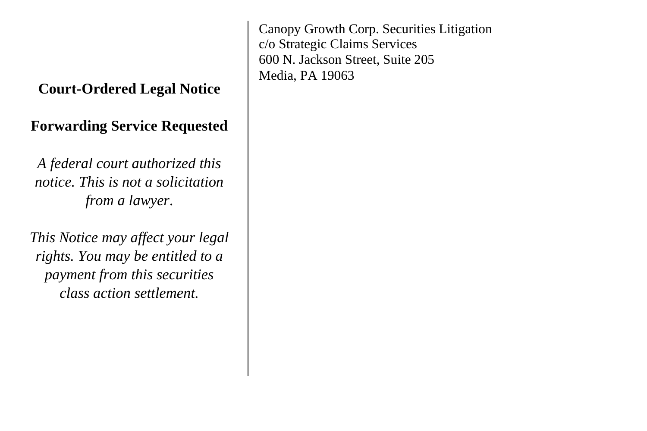## **Court-Ordered Legal Notice**

## **Forwarding Service Requested**

*A federal court authorized this notice. This is not a solicitation from a lawyer*.

*This Notice may affect your legal rights. You may be entitled to a payment from this securities class action settlement.*

Canopy Growth Corp. Securities Litigation c/o Strategic Claims Services 600 N. Jackson Street, Suite 205 Media, PA 19063